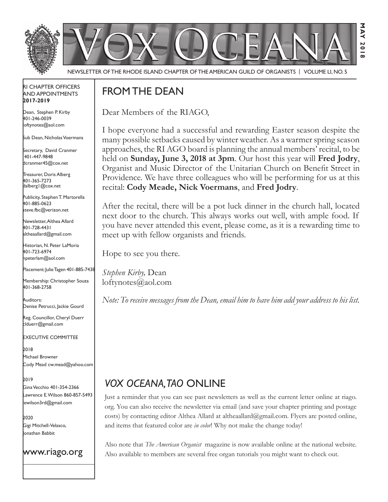

**May 2018**

**201**  $\sim$ 

з  $\overline{M}$ 

#### RI Chapter Officers and Appointments **2017-2019**

Dean, Stephen P. Kirby 401-246-0039 loftynotes@aol.com

Sub Dean, Nicholas Voermans

Secretary, David Cranmer 401-447-9848 dcranmer45@cox.net

Treasurer, Doris Alberg 401-365-7273 dalberg1@cox.net

I Publicity, Stephen T. Martorella 401-885-0623 steve.fbc@verizon.net

Newsletter, Althea Allard 401-728-4431 altheaallard@gmail.com

Historian, N. Peter LaMoria 401-723-6974 npeterlam@aol.com

Placement: Julie Tagen 401-885-7438

Membership: Christopher Souza 401-368-2758

Auditors: Denise Petrucci, Jackie Gourd

Reg. Councillor, Cheryl Duerr clduerr@gmail.com

Executive Committee

2018 Michael Browner Cody Mead cw.mead@yahoo.com

2019

Gina Vecchio 401-354-2366 Lawrence E. Wilson 860-857-5493 lewilson3rd@gmail.com

2020 Gigi Mitchell-Velasco, Jonathan Babbit

www.riago.org

# FROM THE DEAN

Dear Members of the RIAGO,

I hope everyone had a successful and rewarding Easter season despite the many possible setbacks caused by winter weather. As a warmer spring season approaches, the RI AGO board is planning the annual members' recital, to be held on **Sunday, June 3, 2018 at 3pm**. Our host this year will **Fred Jodry**, Organist and Music Director of the Unitarian Church on Benefit Street in Providence. We have three colleagues who will be performing for us at this recital: **Cody Meade, Nick Voermans**, and **Fred Jodry**.

After the recital, there will be a pot luck dinner in the church hall, located next door to the church. This always works out well, with ample food. If you have never attended this event, please come, as it is a rewarding time to meet up with fellow organists and friends.

Hope to see you there.

*Stephen Kirby,* Dean loftynotes@aol.com

*Note: To receive messages from the Dean, email him to have him add your address to his list.*

# *Vox Oceana, TAO* online

Just a reminder that you can see past newsletters as well as the current letter online at riago. org. You can also receive the newsletter via email (and save your chapter printing and postage costs) by contacting editor Althea Allard at altheaallard@gmail.com. Flyers are posted online, and items that featured color are *in color*! Why not make the change today!

Also note that *The American Organist* magazine is now available online at the national website. Also available to members are several free organ tutorials you might want to check out.